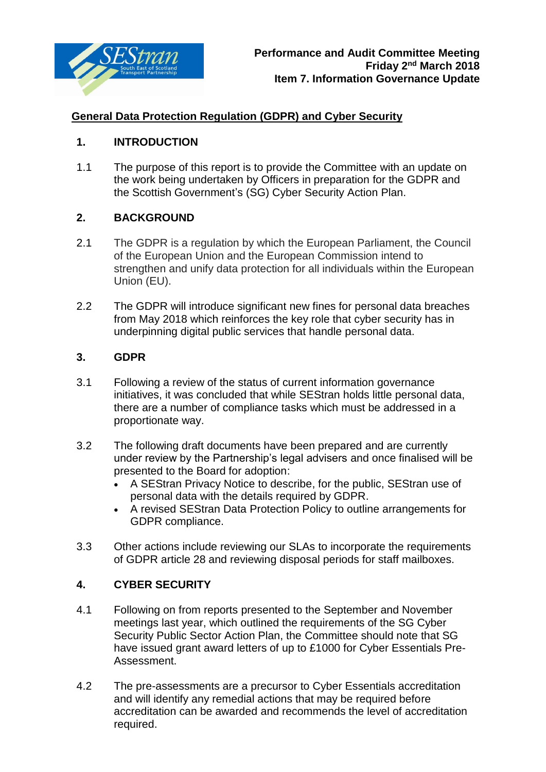

# **General Data Protection Regulation (GDPR) and Cyber Security**

## **1. INTRODUCTION**

1.1 The purpose of this report is to provide the Committee with an update on the work being undertaken by Officers in preparation for the GDPR and the Scottish Government's (SG) Cyber Security Action Plan.

## **2. BACKGROUND**

- 2.1 The GDPR is a regulation by which the European Parliament, the Council of the European Union and the European Commission intend to strengthen and unify data protection for all individuals within the European Union (EU).
- 2.2 The GDPR will introduce significant new fines for personal data breaches from May 2018 which reinforces the key role that cyber security has in underpinning digital public services that handle personal data.

#### **3. GDPR**

- 3.1 Following a review of the status of current information governance initiatives, it was concluded that while SEStran holds little personal data, there are a number of compliance tasks which must be addressed in a proportionate way.
- 3.2 The following draft documents have been prepared and are currently under review by the Partnership's legal advisers and once finalised will be presented to the Board for adoption:
	- A SEStran Privacy Notice to describe, for the public, SEStran use of personal data with the details required by GDPR.
	- A revised SEStran Data Protection Policy to outline arrangements for GDPR compliance.
- 3.3 Other actions include reviewing our SLAs to incorporate the requirements of GDPR article 28 and reviewing disposal periods for staff mailboxes.

## **4. CYBER SECURITY**

- 4.1 Following on from reports presented to the September and November meetings last year, which outlined the requirements of the SG Cyber Security Public Sector Action Plan, the Committee should note that SG have issued grant award letters of up to £1000 for Cyber Essentials Pre-Assessment.
- 4.2 The pre-assessments are a precursor to Cyber Essentials accreditation and will identify any remedial actions that may be required before accreditation can be awarded and recommends the level of accreditation required.